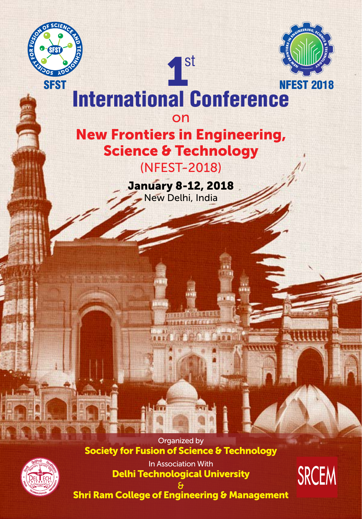



# 1st International Conference

on

## New Frontiers in Engineering, Science & Technology

(NFEST-2018)

January 8-12, 2018 New Delhi, India

Organized by Society for Fusion of Science & Technology

**Arriva** 



In Association With Delhi Technological University



& Shri Ram College of Engineering & Management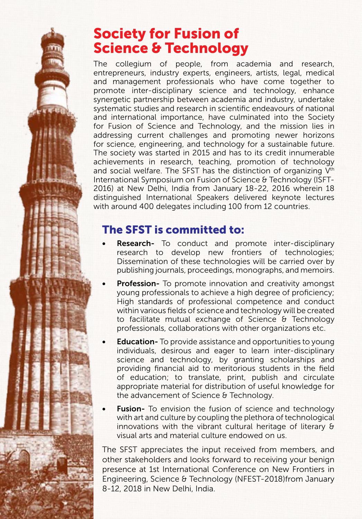### Society for Fusion of Science & Technology

The collegium of people, from academia and research, entrepreneurs, industry experts, engineers, artists, legal, medical and management professionals who have come together to promote inter-disciplinary science and technology, enhance synergetic partnership between academia and industry, undertake systematic studies and research in scientific endeavours of national and international importance, have culminated into the Society for Fusion of Science and Technology, and the mission lies in addressing current challenges and promoting newer horizons for science, engineering, and technology for a sustainable [future.](future.The) [The](future.The) society was started in 2015 and has to its credit innumerable achievements in research, teaching, promotion of technology and social welfare. The SFST has the distinction of organizing V<sup>th</sup> International Symposium on Fusion of Science & Technology (ISFT-2016) at New Delhi, India from January 18-22, 2016 wherein 18 distinguished International Speakers delivered keynote lectures with around 400 delegates including 100 from 12 countries.

### The SFST is committed to:

- Research- To conduct and promote inter-disciplinary research to develop new frontiers of technologies; Dissemination of these technologies will be carried over by publishing journals, proceedings, monographs, and memoirs.
- Profession- To promote innovation and creativity amongst young professionals to achieve a high degree of proficiency; High standards of professional competence and conduct within various fields of science and technology will be created to facilitate mutual exchange of Science & Technology professionals, collaborations with other organizations etc.
- **Education-** To provide assistance and opportunities to young individuals, desirous and eager to learn inter-disciplinary science and technology, by granting scholarships and providing financial aid to meritorious students in the field of education; to translate, print, publish and circulate appropriate material for distribution of useful knowledge for the advancement of Science & Technology.
- **Fusion-** To envision the fusion of science and technology with art and culture by coupling the plethora of technological innovations with the vibrant cultural heritage of literary & visual arts and material culture endowed on us.

The SFST appreciates the input received from members, and other stakeholders and looks forward to receiving your benign presence at 1st International Conference on New Frontiers in Engineering, Science & Technology (NFEST-2018)from January 8-12, 2018 in New Delhi, India.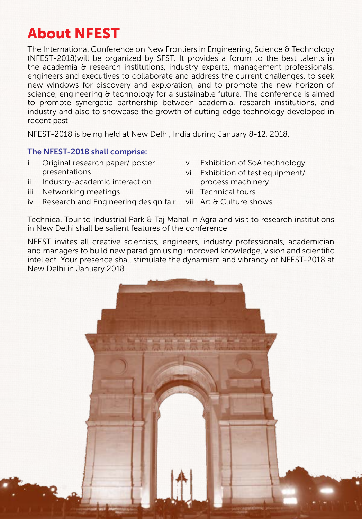## About NFEST

The International Conference on New Frontiers in Engineering, Science & Technology (NFEST-2018)will be organized by SFST. It provides a forum to the best talents in the academia & research institutions, industry experts, management professionals, engineers and executives to collaborate and address the current challenges, to seek new windows for discovery and exploration, and to promote the new horizon of science, engineering & technology for a sustainable future. The conference is aimed to promote synergetic partnership between academia, research institutions, and industry and also to showcase the growth of cutting edge technology developed in recent past.

NFEST-2018 is being held at New Delhi, India during January 8-12, 2018.

#### The NFEST-2018 shall comprise:

- i. Original research paper/ poster presentations
- ii. Industry-academic interaction
- iii. Networking meetings
- iv. Research and Engineering design fair
- v. Exhibition of SoA technology
- vi. Exhibition of test equipment/ process machinery
- vii. Technical tours
- viii. Art & Culture shows.

Technical Tour to Industrial Park & Taj Mahal in Agra and visit to research institutions in New Delhi shall be salient features of the conference.

NFEST invites all creative scientists, engineers, industry professionals, academician and managers to build new paradigm using improved knowledge, vision and scientific intellect. Your presence shall stimulate the dynamism and vibrancy of NFEST-2018 at New Delhi in January 2018.

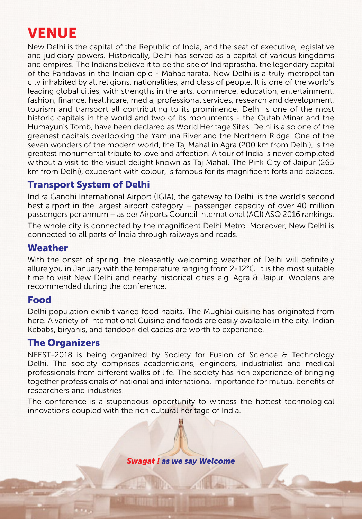## VENUE

New Delhi is the capital of the Republic of India, and the seat of executive, legislative and judiciary powers. Historically, Delhi has served as a capital of various kingdoms and empires. The Indians believe it to be the site of Indraprastha, the legendary capital of the Pandavas in the Indian epic - Mahabharata. New Delhi is a truly metropolitan city inhabited by all religions, nationalities, and class of people. It is one of the world's leading global cities, with strengths in the arts, commerce, education, entertainment, fashion, finance, healthcare, media, professional services, research and development, tourism and transport all contributing to its prominence. Delhi is one of the most historic capitals in the world and two of its monuments - the Qutab Minar and the Humayun's Tomb, have been declared as World Heritage Sites. Delhi is also one of the greenest capitals overlooking the Yamuna River and the Northern Ridge. One of the seven wonders of the modern world, the Taj Mahal in Agra (200 km from Delhi), is the greatest monumental tribute to love and affection. A tour of India is never completed without a visit to the visual delight known as Taj Mahal. The Pink City of Jaipur (265 km from Delhi), exuberant with colour, is famous for its magnificent forts and palaces.

### Transport System of Delhi

Indira Gandhi International Airport (IGIA), the gateway to Delhi, is the world's second best airport in the largest airport category – passenger capacity of over 40 million passengers per annum – as per Airports Council International (ACI) ASQ 2016 rankings. The whole city is connected by the magnificent Delhi Metro. Moreover, New Delhi is connected to all parts of India through railways and roads.

#### Weather

With the onset of spring, the pleasantly welcoming weather of Delhi will definitely allure you in January with the temperature ranging from 2-12°C. It is the most suitable time to visit New Delhi and nearby historical cities e.g. Agra & Jaipur. Woolens are recommended during the conference.

#### Food

Delhi population exhibit varied food habits. The Mughlai cuisine has originated from here. A variety of International Cuisine and foods are easily available in the city. Indian Kebabs, biryanis, and tandoori delicacies are worth to experience.

### The Organizers

NFEST-2018 is being organized by Society for Fusion of Science & Technology Delhi. The society comprises academicians, engineers, industrialist and medical professionals from different walks of life. The society has rich experience of bringing together professionals of national and international importance for mutual benefits of researchers and industries.

The conference is a stupendous opportunity to witness the hottest technological innovations coupled with the rich cultural heritage of India.

*Swagat ! as we say Welcome*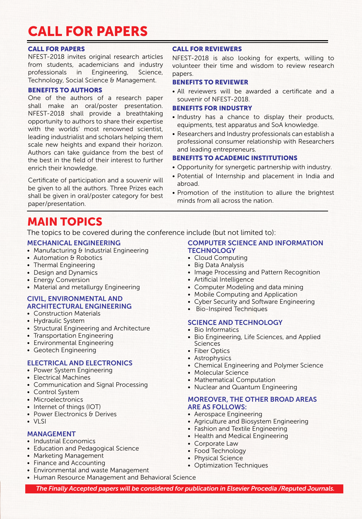### CALL FOR PAPERS

#### CALL FOR PAPERS

NFEST-2018 invites original research articles from students, academicians and industry professionals in Engineering, Science, Technology, Social Science & Management.

#### BENEFITS TO AUTHORS

One of the authors of a research paper shall make an oral/poster presentation. NFEST-2018 shall provide a breathtaking opportunity to authors to share their expertise with the worlds' most renowned scientist, leading industrialist and scholars helping them scale new heights and expand their horizon. Authors can take guidance from the best of the best in the field of their interest to further enrich their knowledge.

Certificate of participation and a souvenir will be given to all the authors. Three Prizes each shall be given in oral/poster category for best paper/presentation.

#### CALL FOR REVIEWERS

NFEST-2018 is also looking for experts, willing to volunteer their time and wisdom to review research papers.

#### BENEFITS TO REVIEWER

• All reviewers will be awarded a certificate and a souvenir of NFEST-2018.

#### BENEFITS FOR INDUSTRY

- Industry has a chance to display their products, equipments, test apparatus and SoA knowledge.
- Researchers and Industry professionals can establish a professional consumer relationship with Researchers and leading entrepreneurs.

#### BENEFITS TO ACADEMIC INSTITUTIONS

- Opportunity for synergetic partnership with industry.
- Potential of Internship and placement in India and abroad.
- Promotion of the institution to allure the brightest minds from all across the nation.

### MAIN TOPICS

The topics to be covered during the conference include (but not limited to):

#### MECHANICAL ENGINEERING

- Manufacturing & Industrial Engineering
- Automation & Robotics
- Thermal Engineering
- Design and Dynamics
- Energy Conversion
- Material and metallurgy Engineering

#### CIVIL, ENVIRONMENTAL AND ARCHITECTURAL ENGINEERING

- Construction Materials
- Hydraulic System
- Structural Engineering and Architecture
- Transportation Engineering
- Environmental Engineering
- • Geotech Engineering

#### ELECTRICAL AND ELECTRONICS

- Power System Engineering
- • Electrical Machines
- Communication and Signal Processing
- Control System
- Microelectronics
- Internet of things (IOT)
- Power Electronics & Derives
- $\bullet$  VISI

#### MANAGEMENT

- Industrial Economics
- Education and Pedagogical Science
- • Marketing Management
- Finance and Accounting
- Environmental and waste Management
- Human Resource Management and Behavioral Science

#### COMPUTER SCIENCE AND INFORMATION **TECHNOLOGY**

- Cloud Computing
- Big Data Analysis
- Image Processing and Pattern Recognition
- Artificial Intelligence
- Computer Modeling and data mining
- Mobile Computing and Application
- Cyber Security and Software Engineering
- Bio-Inspired Techniques

#### SCIENCE AND TECHNOLOGY

- Bio Informatics
- Bio Engineering, Life Sciences, and Applied Sciences
- Fiber Optics
- Astrophysics
- Chemical Engineering and Polymer Science
- Molecular Science
- Mathematical Computation
- Nuclear and Quantum Engineering

#### MOREOVER, THE OTHER BROAD AREAS ARE AS FOLLOWS:

- • Aerospace Engineering
- • Agriculture and Biosystem Engineering
- Fashion and Textile Engineering
- Health and Medical Engineering
- Corporate Law
- Food Technology
- Physical Science
- Optimization Techniques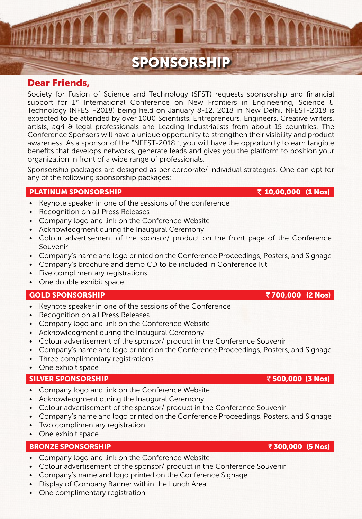### SPONSORSHIP

#### Dear Friends,

Society for Fusion of Science and Technology (SFST) requests sponsorship and financial support for  $1<sup>st</sup>$  International Conference on New Frontiers in Engineering, Science & Technology (NFEST-2018) being held on January 8-12, 2018 in New Delhi. NFEST-2018 is expected to be attended by over 1000 Scientists, Entrepreneurs, Engineers, Creative writers, artists, agri & legal-professionals and Leading Industrialists from about 15 countries. The Conference Sponsors will have a unique opportunity to strengthen their visibility and product awareness. As a sponsor of the "NFEST-2018 ", you will have the opportunity to earn tangible benefits that develops networks, generate leads and gives you the platform to position your organization in front of a wide range of professionals.

Sponsorship packages are designed as per corporate/ individual strategies. One can opt for any of the following sponsorship packages:

#### PLATINUM SPONSORSHIP  $\bar{z}$  10,00,000 (1 Nos)

- Keynote speaker in one of the sessions of the conference
- Recognition on all Press Releases
- Company logo and link on the Conference Website
- Acknowledgment during the Inaugural Ceremony
- • Colour advertisement of the sponsor/ product on the front page of the Conference Souvenir
- Company's name and logo printed on the Conference Proceedings, Posters, and Signage
- Company's brochure and demo CD to be included in Conference Kit
- Five complimentary registrations
- • One double exhibit space

#### GOLD SPONSORSHIP  $\bar{z}$  700,000 (2 Nos)

- Keynote speaker in one of the sessions of the Conference
- Recognition on all Press Releases
- Company logo and link on the Conference Website
- Acknowledgment during the Inaugural Ceremony
- Colour advertisement of the sponsor/ product in the Conference Souvenir
- • Company's name and logo printed on the Conference Proceedings, Posters, and Signage
- Three complimentary registrations
- • One exhibit space

#### SILVER SPONSORSHIP ` 500,000 (3 Nos)

- Company logo and link on the Conference Website
- • Acknowledgment during the Inaugural Ceremony
- Colour advertisement of the sponsor/ product in the Conference Souvenir
- Company's name and logo printed on the Conference Proceedings, Posters, and Signage
- Two complimentary registration
- One exhibit space

#### BRONZE SPONSORSHIP ` 300,000 (5 Nos)

- Company logo and link on the Conference Website
- Colour advertisement of the sponsor/ product in the Conference Souvenir
- Company's name and logo printed on the Conference Signage
- Display of Company Banner within the Lunch Area
- One complimentary registration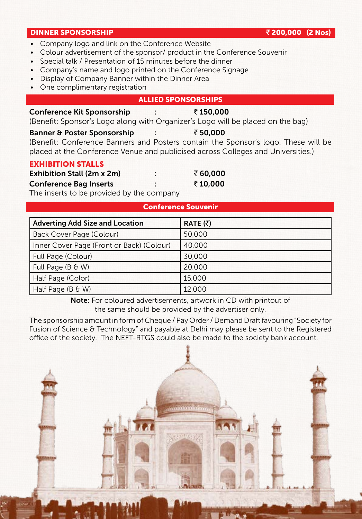#### DINNER SPONSORSHIP **and the contract of the contract of the contract of the contract of the contract of the contract of the contract of the contract of the contract of the contract of the contract of the contract of the c**

- Company logo and link on the Conference Website
- Colour advertisement of the sponsor/ product in the Conference Souvenir
- Special talk / Presentation of 15 minutes before the dinner
- Company's name and logo printed on the Conference Signage
- Display of Company Banner within the Dinner Area
- One complimentary registration

#### ALLIED SPONSORSHIPS

#### Conference Kit Sponsorship : ₹150,000 (Benefit: Sponsor's Logo along with Organizer's Logo will be placed on the bag)

#### Banner & Poster Sponsorship : ₹50,000

(Benefit: Conference Banners and Posters contain the Sponsor's logo. These will be placed at the Conference Venue and publicised across Colleges and Universities.)

#### EXHIBITION STALLS

| <b>Exhibition Stall (2m x 2m)</b> |  |
|-----------------------------------|--|
|                                   |  |

Conference Bag Inserts : ₹10,000

The inserts to be provided by the company

| <b>Conference Souvenir</b>                |                  |  |  |  |
|-------------------------------------------|------------------|--|--|--|
| <b>Adverting Add Size and Location</b>    | RATE $(\bar{z})$ |  |  |  |
| Back Cover Page (Colour)                  | 50,000           |  |  |  |
| Inner Cover Page (Front or Back) (Colour) | 40,000           |  |  |  |
| Full Page (Colour)                        | 30,000           |  |  |  |
| Full Page $(B \& W)$                      | 20,000           |  |  |  |
| Half Page (Color)                         | 15,000           |  |  |  |
| Half Page $(B \& W)$                      | 12,000           |  |  |  |

Note: For coloured advertisements, artwork in CD with printout of the same should be provided by the advertiser only.

The sponsorship amount in form of Cheque / Pay Order / Demand Draft favouring "Society for Fusion of Science & Technology" and payable at Delhi may please be sent to the Registered office of the society. The NEFT-RTGS could also be made to the society bank account.



 $\bar{z}$  60,000